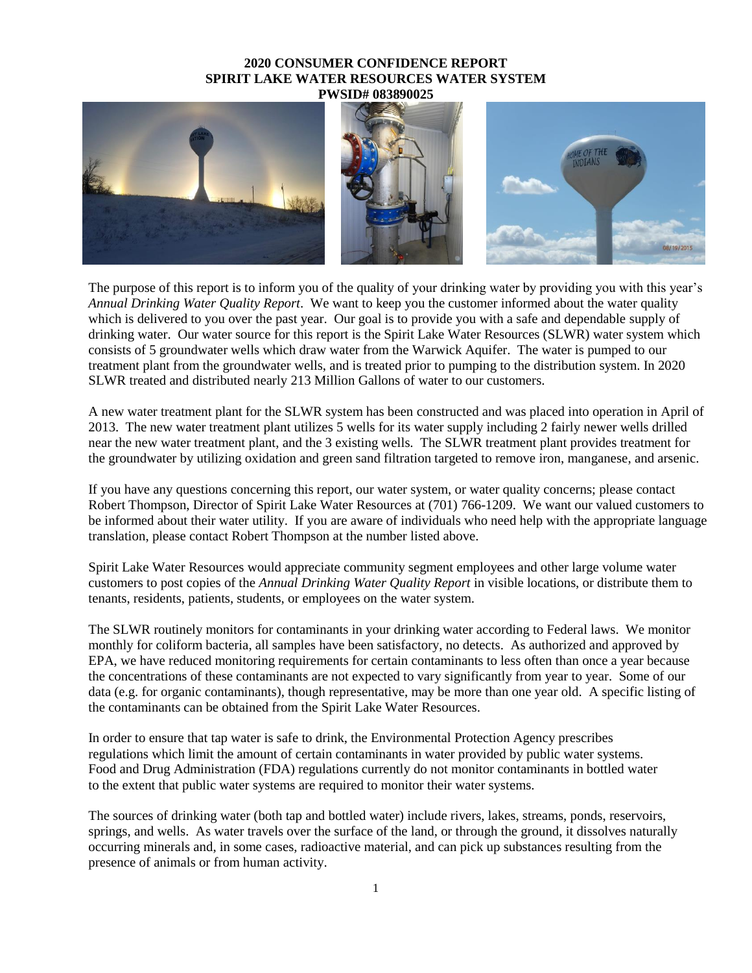## **2020 CONSUMER CONFIDENCE REPORT SPIRIT LAKE WATER RESOURCES WATER SYSTEM PWSID# 083890025**



The purpose of this report is to inform you of the quality of your drinking water by providing you with this year's *Annual Drinking Water Quality Report*. We want to keep you the customer informed about the water quality which is delivered to you over the past year. Our goal is to provide you with a safe and dependable supply of drinking water. Our water source for this report is the Spirit Lake Water Resources (SLWR) water system which consists of 5 groundwater wells which draw water from the Warwick Aquifer. The water is pumped to our treatment plant from the groundwater wells, and is treated prior to pumping to the distribution system. In 2020 SLWR treated and distributed nearly 213 Million Gallons of water to our customers.

A new water treatment plant for the SLWR system has been constructed and was placed into operation in April of 2013. The new water treatment plant utilizes 5 wells for its water supply including 2 fairly newer wells drilled near the new water treatment plant, and the 3 existing wells. The SLWR treatment plant provides treatment for the groundwater by utilizing oxidation and green sand filtration targeted to remove iron, manganese, and arsenic.

If you have any questions concerning this report, our water system, or water quality concerns; please contact Robert Thompson, Director of Spirit Lake Water Resources at (701) 766-1209. We want our valued customers to be informed about their water utility. If you are aware of individuals who need help with the appropriate language translation, please contact Robert Thompson at the number listed above.

Spirit Lake Water Resources would appreciate community segment employees and other large volume water customers to post copies of the *Annual Drinking Water Quality Report* in visible locations, or distribute them to tenants, residents, patients, students, or employees on the water system.

The SLWR routinely monitors for contaminants in your drinking water according to Federal laws. We monitor monthly for coliform bacteria, all samples have been satisfactory, no detects. As authorized and approved by EPA, we have reduced monitoring requirements for certain contaminants to less often than once a year because the concentrations of these contaminants are not expected to vary significantly from year to year. Some of our data (e.g. for organic contaminants), though representative, may be more than one year old. A specific listing of the contaminants can be obtained from the Spirit Lake Water Resources.

In order to ensure that tap water is safe to drink, the Environmental Protection Agency prescribes regulations which limit the amount of certain contaminants in water provided by public water systems. Food and Drug Administration (FDA) regulations currently do not monitor contaminants in bottled water to the extent that public water systems are required to monitor their water systems.

The sources of drinking water (both tap and bottled water) include rivers, lakes, streams, ponds, reservoirs, springs, and wells. As water travels over the surface of the land, or through the ground, it dissolves naturally occurring minerals and, in some cases, radioactive material, and can pick up substances resulting from the presence of animals or from human activity.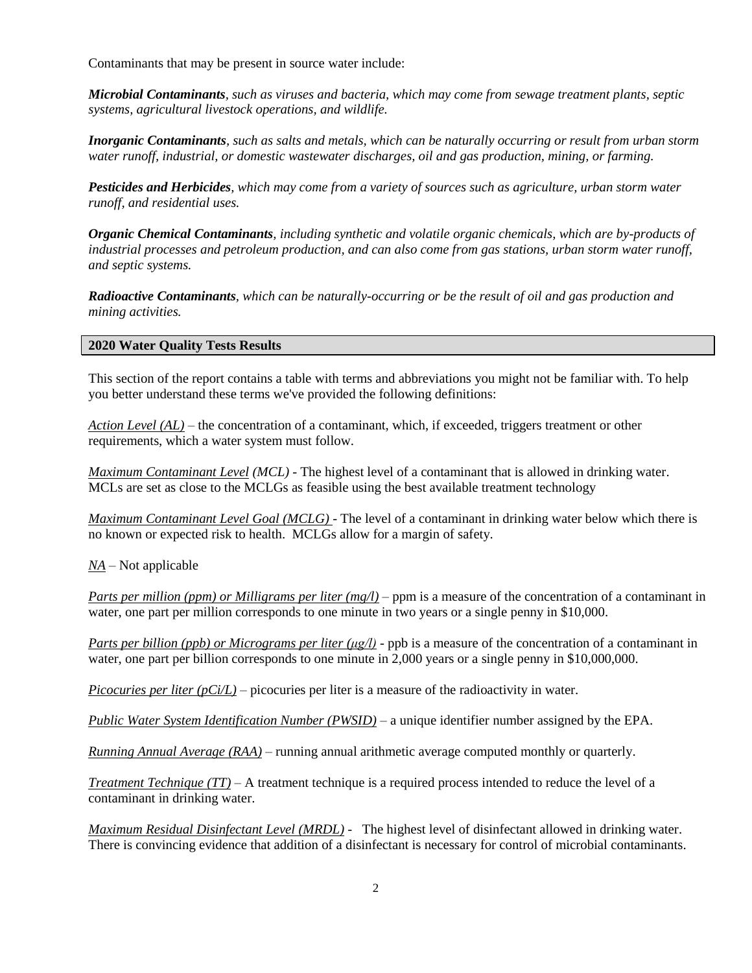Contaminants that may be present in source water include:

*Microbial Contaminants, such as viruses and bacteria, which may come from sewage treatment plants, septic systems, agricultural livestock operations, and wildlife.*

*Inorganic Contaminants, such as salts and metals, which can be naturally occurring or result from urban storm water runoff, industrial, or domestic wastewater discharges, oil and gas production, mining, or farming.*

*Pesticides and Herbicides, which may come from a variety of sources such as agriculture, urban storm water runoff, and residential uses.*

*Organic Chemical Contaminants, including synthetic and volatile organic chemicals, which are by-products of industrial processes and petroleum production, and can also come from gas stations, urban storm water runoff, and septic systems.*

*Radioactive Contaminants, which can be naturally-occurring or be the result of oil and gas production and mining activities.*

## **2020 Water Quality Tests Results**

This section of the report contains a table with terms and abbreviations you might not be familiar with. To help you better understand these terms we've provided the following definitions:

*Action Level (AL)* – the concentration of a contaminant, which, if exceeded, triggers treatment or other requirements, which a water system must follow.

*Maximum Contaminant Level (MCL)* - The highest level of a contaminant that is allowed in drinking water. MCLs are set as close to the MCLGs as feasible using the best available treatment technology

*Maximum Contaminant Level Goal (MCLG)* - The level of a contaminant in drinking water below which there is no known or expected risk to health. MCLGs allow for a margin of safety.

*NA* – Not applicable

*Parts per million (ppm) or Milligrams per liter (mg/l)* – ppm is a measure of the concentration of a contaminant in water, one part per million corresponds to one minute in two years or a single penny in \$10,000.

*Parts per billion (ppb) or Micrograms per liter (μg/l)* - ppb is a measure of the concentration of a contaminant in water, one part per billion corresponds to one minute in 2,000 years or a single penny in \$10,000,000.

*Picocuries per liter (pCi/L)* – picocuries per liter is a measure of the radioactivity in water.

*Public Water System Identification Number (PWSID)* – a unique identifier number assigned by the EPA.

*Running Annual Average (RAA)* – running annual arithmetic average computed monthly or quarterly.

*Treatment Technique (TT)* – A treatment technique is a required process intended to reduce the level of a contaminant in drinking water.

*Maximum Residual Disinfectant Level (MRDL) -* The highest level of disinfectant allowed in drinking water. There is convincing evidence that addition of a disinfectant is necessary for control of microbial contaminants.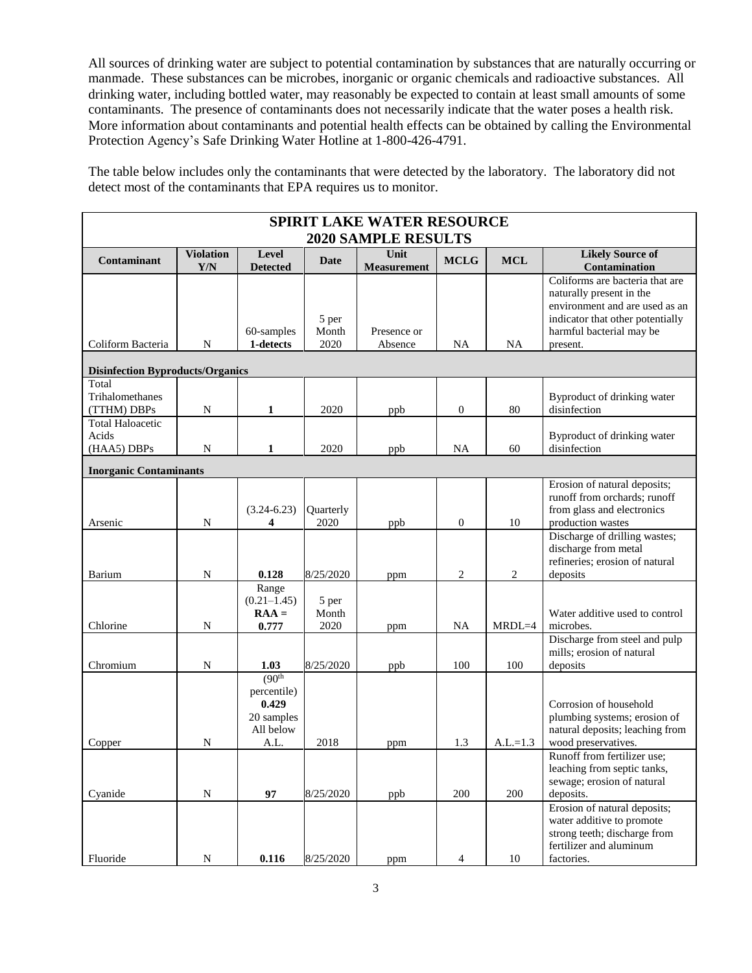All sources of drinking water are subject to potential contamination by substances that are naturally occurring or manmade. These substances can be microbes, inorganic or organic chemicals and radioactive substances. All drinking water, including bottled water, may reasonably be expected to contain at least small amounts of some contaminants. The presence of contaminants does not necessarily indicate that the water poses a health risk. More information about contaminants and potential health effects can be obtained by calling the Environmental Protection Agency's Safe Drinking Water Hotline at 1-800-426-4791.

The table below includes only the contaminants that were detected by the laboratory. The laboratory did not detect most of the contaminants that EPA requires us to monitor.

| <b>SPIRIT LAKE WATER RESOURCE</b>               |                         |                                                                                |                        |                            |                |            |                                                                                                                                                                           |  |  |  |  |  |
|-------------------------------------------------|-------------------------|--------------------------------------------------------------------------------|------------------------|----------------------------|----------------|------------|---------------------------------------------------------------------------------------------------------------------------------------------------------------------------|--|--|--|--|--|
| <b>2020 SAMPLE RESULTS</b>                      |                         |                                                                                |                        |                            |                |            |                                                                                                                                                                           |  |  |  |  |  |
| Contaminant                                     | <b>Violation</b><br>Y/N | Level<br><b>Detected</b>                                                       | Date                   | Unit<br><b>Measurement</b> | <b>MCLG</b>    | <b>MCL</b> | <b>Likely Source of</b><br>Contamination                                                                                                                                  |  |  |  |  |  |
| Coliform Bacteria                               | N                       | 60-samples<br>1-detects                                                        | 5 per<br>Month<br>2020 | Presence or<br>Absence     | NA             | NA         | Coliforms are bacteria that are<br>naturally present in the<br>environment and are used as an<br>indicator that other potentially<br>harmful bacterial may be<br>present. |  |  |  |  |  |
| <b>Disinfection Byproducts/Organics</b>         |                         |                                                                                |                        |                            |                |            |                                                                                                                                                                           |  |  |  |  |  |
| Total<br>Trihalomethanes<br>(TTHM) DBPs         | N                       | 1                                                                              | 2020                   | ppb                        | 0              | 80         | Byproduct of drinking water<br>disinfection                                                                                                                               |  |  |  |  |  |
| <b>Total Haloacetic</b><br>Acids<br>(HAA5) DBPs | N                       | 1                                                                              | 2020                   | ppb                        | <b>NA</b>      | 60         | Byproduct of drinking water<br>disinfection                                                                                                                               |  |  |  |  |  |
| <b>Inorganic Contaminants</b>                   |                         |                                                                                |                        |                            |                |            |                                                                                                                                                                           |  |  |  |  |  |
| Arsenic                                         | N                       | $(3.24 - 6.23)$<br>4                                                           | Quarterly<br>2020      | ppb                        | 0              | 10         | Erosion of natural deposits;<br>runoff from orchards; runoff<br>from glass and electronics<br>production wastes                                                           |  |  |  |  |  |
| Barium                                          | N                       | 0.128                                                                          | 8/25/2020              | ppm                        | 2              | 2          | Discharge of drilling wastes;<br>discharge from metal<br>refineries; erosion of natural<br>deposits                                                                       |  |  |  |  |  |
| Chlorine                                        | N                       | Range<br>$(0.21 - 1.45)$<br>$RAA =$<br>0.777                                   | 5 per<br>Month<br>2020 | ppm                        | NA             | $MRDL=4$   | Water additive used to control<br>microbes.                                                                                                                               |  |  |  |  |  |
| Chromium                                        | N                       | 1.03                                                                           | 8/25/2020              | ppb                        | 100            | 100        | Discharge from steel and pulp<br>mills; erosion of natural<br>deposits                                                                                                    |  |  |  |  |  |
| Copper                                          | N                       | (90 <sup>th</sup> )<br>percentile)<br>0.429<br>20 samples<br>All below<br>A.L. | 2018                   | ppm                        | 1.3            | $A.L.=1.3$ | Corrosion of household<br>plumbing systems; erosion of<br>natural deposits; leaching from<br>wood preservatives.                                                          |  |  |  |  |  |
| Cvanide                                         | N                       | 97                                                                             | 8/25/2020              | ppb                        | 200            | 200        | Runoff from fertilizer use;<br>leaching from septic tanks,<br>sewage; erosion of natural<br>deposits.                                                                     |  |  |  |  |  |
| Fluoride                                        | N                       | 0.116                                                                          | 8/25/2020              | ppm                        | $\overline{4}$ | 10         | Erosion of natural deposits;<br>water additive to promote<br>strong teeth; discharge from<br>fertilizer and aluminum<br>factories.                                        |  |  |  |  |  |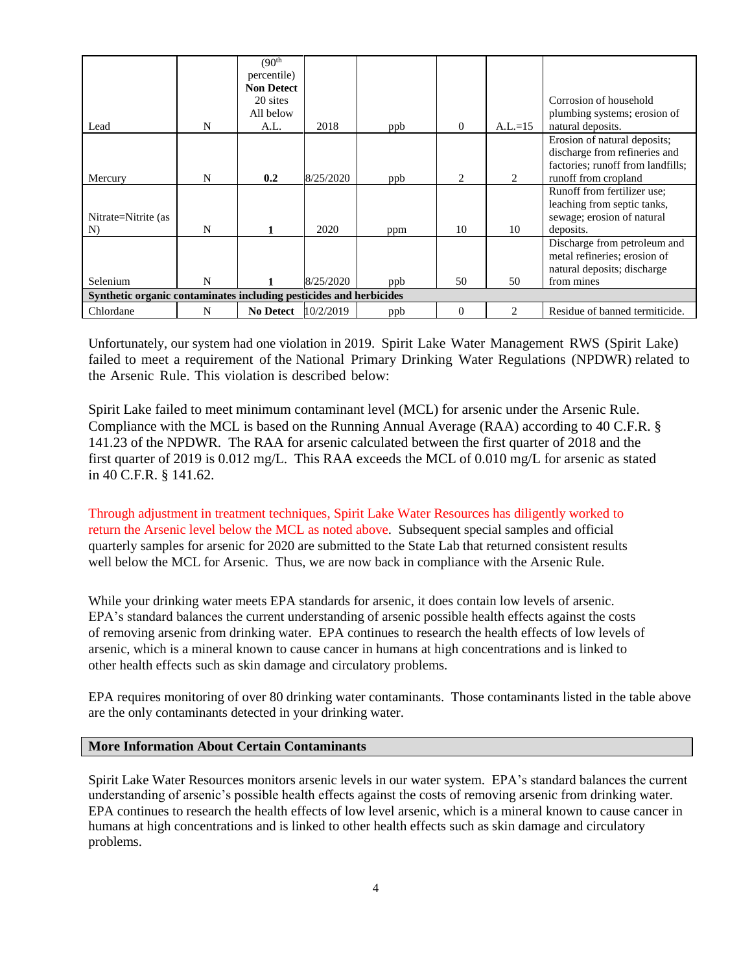|                                                                    |   | (90 <sup>th</sup> ) |           |     |          |                             |                                   |  |  |  |
|--------------------------------------------------------------------|---|---------------------|-----------|-----|----------|-----------------------------|-----------------------------------|--|--|--|
|                                                                    |   | percentile)         |           |     |          |                             |                                   |  |  |  |
|                                                                    |   | <b>Non Detect</b>   |           |     |          |                             |                                   |  |  |  |
|                                                                    |   | 20 sites            |           |     |          |                             | Corrosion of household            |  |  |  |
|                                                                    |   | All below           |           |     |          |                             | plumbing systems; erosion of      |  |  |  |
| Lead                                                               | N | A.L.                | 2018      | ppb | $\theta$ | $A.L.=15$                   | natural deposits.                 |  |  |  |
|                                                                    |   |                     |           |     |          |                             | Erosion of natural deposits;      |  |  |  |
|                                                                    |   |                     |           |     |          |                             | discharge from refineries and     |  |  |  |
|                                                                    |   |                     |           |     |          |                             | factories; runoff from landfills; |  |  |  |
| Mercury                                                            | N | 0.2                 | 8/25/2020 | ppb | 2        | 2                           | runoff from cropland              |  |  |  |
|                                                                    |   |                     |           |     |          |                             | Runoff from fertilizer use;       |  |  |  |
|                                                                    |   |                     |           |     |          |                             | leaching from septic tanks,       |  |  |  |
| Nitrate=Nitrite (as                                                |   |                     |           |     |          |                             | sewage; erosion of natural        |  |  |  |
| N)                                                                 | N |                     | 2020      | ppm | 10       | 10                          | deposits.                         |  |  |  |
|                                                                    |   |                     |           |     |          |                             | Discharge from petroleum and      |  |  |  |
|                                                                    |   |                     |           |     |          |                             | metal refineries; erosion of      |  |  |  |
|                                                                    |   |                     |           |     |          |                             | natural deposits; discharge       |  |  |  |
| Selenium                                                           | N |                     | 8/25/2020 | ppb | 50       | 50                          | from mines                        |  |  |  |
| Synthetic organic contaminates including pesticides and herbicides |   |                     |           |     |          |                             |                                   |  |  |  |
| Chlordane                                                          | N | <b>No Detect</b>    | 10/2/2019 | ppb | $\Omega$ | $\mathcal{D}_{\mathcal{L}}$ | Residue of banned termiticide.    |  |  |  |

Unfortunately, our system had one violation in 2019. Spirit Lake Water Management RWS (Spirit Lake) failed to meet a requirement of the National Primary Drinking Water Regulations (NPDWR) related to the Arsenic Rule. This violation is described below:

Spirit Lake failed to meet minimum contaminant level (MCL) for arsenic under the Arsenic Rule. Compliance with the MCL is based on the Running Annual Average (RAA) according to 40 C.F.R. § 141.23 of the NPDWR. The RAA for arsenic calculated between the first quarter of 2018 and the first quarter of 2019 is 0.012 mg/L. This RAA exceeds the MCL of 0.010 mg/L for arsenic as stated in 40 C.F.R. § 141.62.

Through adjustment in treatment techniques, Spirit Lake Water Resources has diligently worked to return the Arsenic level below the MCL as noted above. Subsequent special samples and official quarterly samples for arsenic for 2020 are submitted to the State Lab that returned consistent results well below the MCL for Arsenic. Thus, we are now back in compliance with the Arsenic Rule.

While your drinking water meets EPA standards for arsenic, it does contain low levels of arsenic. EPA's standard balances the current understanding of arsenic possible health effects against the costs of removing arsenic from drinking water. EPA continues to research the health effects of low levels of arsenic, which is a mineral known to cause cancer in humans at high concentrations and is linked to other health effects such as skin damage and circulatory problems.

EPA requires monitoring of over 80 drinking water contaminants. Those contaminants listed in the table above are the only contaminants detected in your drinking water.

## **More Information About Certain Contaminants**

Spirit Lake Water Resources monitors arsenic levels in our water system. EPA's standard balances the current understanding of arsenic's possible health effects against the costs of removing arsenic from drinking water. EPA continues to research the health effects of low level arsenic, which is a mineral known to cause cancer in humans at high concentrations and is linked to other health effects such as skin damage and circulatory problems.